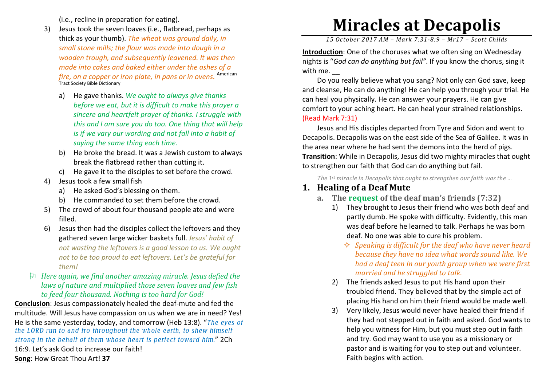(i.e., recline in preparation for eating).

- 3) Jesus took the seven loaves (i.e., flatbread, perhaps as thick as your thumb). The wheat was ground daily, in small stone mills; the flour was made into dough in a wooden trough, and subsequently leavened. It was then made into cakes and baked either under the ashes of a fire, on a copper or iron plate, in pans or in ovens. American Tract Society Bible Dictionary
	- a) He gave thanks. We ought to always give thanks before we eat, but it is difficult to make this prayer a sincere and heartfelt prayer of thanks. I struggle with this and I am sure you do too. One thing that will help is if we vary our wording and not fall into a habit of saying the same thing each time.
	- b) He broke the bread. It was a Jewish custom to always break the flatbread rather than cutting it.
	- c) He gave it to the disciples to set before the crowd.
- 4) Jesus took a few small fish
	- a) He asked God's blessing on them.
	- b) He commanded to set them before the crowd.
- 5) The crowd of about four thousand people ate and were filled.
- 6) Jesus then had the disciples collect the leftovers and they gathered seven large wicker baskets full. Jesus' habit of not wasting the leftovers is a good lesson to us. We ought not to be too proud to eat leftovers. Let's be grateful for them!
- Here again, we find another amazing miracle. Jesus defied the<br>laws of nature and multiplied those seven logues and fou fish laws of nature and multiplied those seven loaves and few fish to feed four thousand. Nothing is too hard for God!

Conclusion: Jesus compassionately healed the deaf-mute and fed the multitude. Will Jesus have compassion on us when we are in need? Yes! He is the same yesterday, today, and tomorrow (Heb 13:8). "*The eyes of the LORD run to and fro throughout the whole earth, to shew himself strong in the behalf of them whose heart is perfect toward him.*" 2Ch 16:9. Let's ask God to increase our faith! Song: How Great Thou Art! 37

## Miracles at Decapolis

15 October 2017 AM – Mark 7:31-8:9 – Mr17 – Scott Childs

Introduction: One of the choruses what we often sing on Wednesday nights is "God can do anything but fail". If you know the chorus, sing it with me.

Do you really believe what you sang? Not only can God save, keep and cleanse, He can do anything! He can help you through your trial. He can heal you physically. He can answer your prayers. He can give comfort to your aching heart. He can heal your strained relationships. (Read Mark 7:31)

Jesus and His disciples departed from Tyre and Sidon and went to Decapolis. Decapolis was on the east side of the Sea of Galilee. It was in the area near where he had sent the demons into the herd of pigs. Transition: While in Decapolis, Jesus did two mighty miracles that ought to strengthen our faith that God can do anything but fail.

The 1<sup>st</sup> miracle in Decapolis that ought to strengthen our faith was the ...

## 1. Healing of a Deaf Mute

- a. The request of the deaf man's friends (7:32)
	- 1) They brought to Jesus their friend who was both deaf and partly dumb. He spoke with difficulty. Evidently, this man was deaf before he learned to talk. Perhaps he was born deaf. No one was able to cure his problem.
		- $\Diamond$  Speaking is difficult for the deaf who have never heard<br>because they have no idea what words sound like We because they have no idea what words sound like. We had a deaf teen in our youth group when we were first married and he struggled to talk.
	- 2) The friends asked Jesus to put His hand upon their troubled friend. They believed that by the simple act of placing His hand on him their friend would be made well.
	- 3) Very likely, Jesus would never have healed their friend if they had not stepped out in faith and asked. God wants tohelp you witness for Him, but you must step out in faithand try. God may want to use you as a missionary or pastor and is waiting for you to step out and volunteer.Faith begins with action.